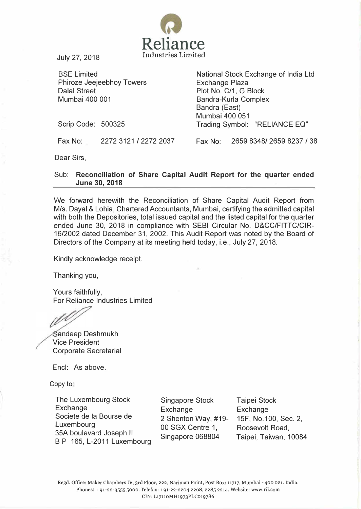

July 27, 2018

BSE Limited Phiroze Jeejeebhoy Towers Dalal Street Mumbai 400 001

National Stock Exchange of India Ltd Exchange Plaza Plot No. C/1, G Block Bandra-Kurla Complex Bandra (East) Mumbai 400 051 Trading Symbol: "RELIANCE EQ"

Scrip Code: 500325

Fax No: 2272 3121 I 2272 2037 Fax No: 2659 83481 2659 8237 I 38

Dear Sirs,

## Sub: Reconciliation of Share Capital Audit Report for the quarter ended June 30, 2018

We forward herewith the Reconciliation of Share Capital Audit Report from Mls. Dayal & Lohia, Chartered Accountants, Mumbai, certifying the admitted capital with both the Depositories, total issued capital and the listed capital for the quarter ended June 30, 2018 in compliance with SEBI Circular No. D&CC/FITTC/CIR-1612002 dated December 31, 2002. This Audit Report was noted by the Board of Directors of the Company at its meeting held today, i.e., July 27, 2018.

Kindly acknowledge receipt.

Thanking you,

Yours faithfully, For Reliance Industries Limited

andeep Deshmukh Vice President Corporate Secretarial

Encl: As above.

Copy to:

The Luxembourg Stock **Exchange** Societe de Ia Bourse de Luxembourg 35A boulevard Joseph II B P 165, L-2011 Luxembourg

Singapore Stock **Exchange** 2 Shenton Way, #19- 00 SGX Centre 1, Singapore 068804

Taipei Stock **Exchange** 15F, No.1 00, Sec. 2, Roosevolt Road, Taipei, Taiwan, 10084

Regd. Office: Maker Chambers IV, 3rd Floor, 222, Nariman Point, Post Box: 11717, Mumbai - 400 021. India. Phones:+ 91-22-3555 5000. Telefax: +91-22-2204 2268, 2285 2214. Website: www.ril.com CIN: L17110MH1973PLC019786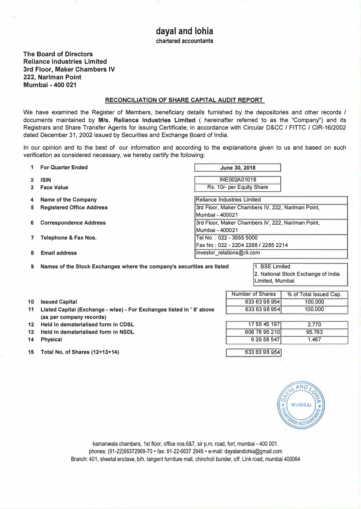The Board of Directors Reliance Industries Limited 3rd Floor, Maker Chambers IV 222, Narlman Point Mumbai - 400 021

## RECONCILIATION OF SHARE CAPITAL AUDIT REPORT

We have examined the Register of Members, beneficiary details furnished by the depositories and other records / documents maintained by M/s. Reliance Industries Limited ( hereinafter referred to as the "Company") and its Registrars and Share Transfer Agents for issuing Certificate, in accordance with Circular D&CC / FITTC / CIR-16/2002 dated December 31, 2002 issued by Securities and Exchange Board of India.

In our opinion and to the best of our information and according to the explanations given to us and based on such verification as considered necessary, we hereby certify the following:

|    | <b>For Quarter Ended</b>         | June 30, 2018                                     |  |  |  |
|----|----------------------------------|---------------------------------------------------|--|--|--|
|    | <b>ISIN</b>                      | INE002A01018                                      |  |  |  |
|    | <b>Face Value</b>                | Rs. 10/- per Equity Share                         |  |  |  |
|    | <b>Name of the Company</b>       | Reliance Industries Limited                       |  |  |  |
| 5. | <b>Registered Office Address</b> | 3rd Floor, Maker Chambers IV, 222, Nariman Point, |  |  |  |
|    |                                  | Mumbai - 400021                                   |  |  |  |
|    | <b>Correspondence Address</b>    | 3rd Floor, Maker Chambers IV, 222, Nariman Point, |  |  |  |
|    |                                  | Mumbai - 400021                                   |  |  |  |
|    | Telephone & Fax Nos.             | Tel No: 022 - 3555 5000                           |  |  |  |
|    |                                  | Fax No: 022 - 2204 2268 / 2285 2214               |  |  |  |
|    | <b>Email address</b>             | investor relations@ril.com                        |  |  |  |

9 Names of the Stock Exchanges where the company's securities are listed 1. BSE Limited

2. National Stock Exchange of India Limited, Mumbai

> % of Total Issued Cap. 100.000 100.000

> > 2 .770 95.763 1 .467

Number of Shares 633 63 98 954 633 63 98 954

> 17 55 45 197 606 78 95 210 9 29 58 547

633 63 98 954

- 10 Issued Capital
- 11 Listed Capital (Exchange- wise)- For Exchanges listed in' 9' above (as per company records)
- 12 Held in dematerialised form in CDSL
- 13 Held in dematerialised form In NSDL
- 14 Physical
- 15 Total No. of Shares (12+13+14)



kamanwala chambers, 1st floor, office nos.6&7, sir p.m. road, fort, mumbai- 400 001. phones: (91-22)66372969-70 · fax: 91-22-6637 2949 · e-mail: dayalandlohia@gmail.com Branch: 401, sheetal enclave, b/h. tangent furniture mall, chincholi bunder, off. Link road, mumbai 400064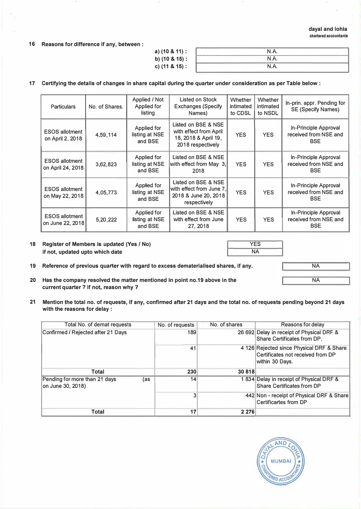## dayal and lohia chartered accountants

NA

NA

16 Reasons for difference If any, between:

| a) (10 & 11) : | N.A. |  |
|----------------|------|--|
| b) (10 & 15) : | N.A. |  |
| c) (11 & 15) : | N.A. |  |

## 17 Certifying the details of changes in share capital during the quarter under consideration as per Table below:

| <b>Particulars</b>                         | No. of Shares. | Applied / Not<br>Applied for<br>listing  | Listed on Stock<br><b>Exchanges (Specify</b><br>Names)                                     | Whether<br>intimated<br>to CDSL | Whether<br><i>intimated</i><br>to NSDL | In-prin. appr. Pending for<br><b>SE (Specify Names)</b>      |
|--------------------------------------------|----------------|------------------------------------------|--------------------------------------------------------------------------------------------|---------------------------------|----------------------------------------|--------------------------------------------------------------|
| <b>ESOS allotment</b><br>on April 2, 2018  | 4,59,114       | Applied for<br>listing at NSE<br>and BSE | Listed on BSE & NSE<br>with effect from April<br>18, 2018 & April 19,<br>2018 respectively | <b>YES</b>                      | <b>YES</b>                             | In-Principle Approval<br>received from NSE and<br><b>BSE</b> |
| <b>ESOS allotment</b><br>on April 24, 2018 | 3,62,823       | Applied for<br>listing at NSE<br>and BSE | Listed on BSE & NSE<br>with effect from May 3,<br>2018                                     | <b>YES</b>                      | <b>YES</b>                             | In-Principle Approval<br>received from NSE and<br><b>BSE</b> |
| <b>ESOS allotment</b><br>on May 22, 2018   | 4,05,773       | Applied for<br>listing at NSE<br>and BSE | Listed on BSE & NSE<br>with effect from June 7.<br>2018 & June 20, 2018<br>respectively    | <b>YES</b>                      | <b>YES</b>                             | In-Principle Approval<br>received from NSE and<br><b>BSE</b> |
| <b>ESOS allotment</b><br>on June 22, 2018  | 5,20,222       | Applied for<br>listing at NSE<br>and BSE | Listed on BSE & NSE<br>with effect from June<br>27, 2018                                   | <b>YES</b>                      | <b>YES</b>                             | In-Principle Approval<br>received from NSE and<br><b>BSE</b> |

18 Register of Members is updated (Yes / No) if not, updated upto which date

with the reasons for delay :

YES NA

- 19 Reference of previous quarter with regard to excess dematerialised shares, if any.
- 20 Has the company resolved the matter mentioned In point no.19 above in the current quarter ? If not, reason why ?
- 21 Mention the total no. of requests, If any, confirmed after 21 days and the total no. of requests pending beyond 21 days

| Total No. of demat requests                                | No. of requests | No. of shares | Reasons for delay                                                                                  |
|------------------------------------------------------------|-----------------|---------------|----------------------------------------------------------------------------------------------------|
| Confirmed / Rejected after 21 Days                         | 189             |               | 26 692 Delay in receipt of Physical DRF &<br>Share Certificates from DP.                           |
|                                                            | 41              |               | 4 126 Rejected since Physical DRF & Share<br>Certificates not received from DP<br> within 30 Days. |
| Total                                                      | 230             | 30 818        |                                                                                                    |
| Pending for more than 21 days<br>(as<br>lon June 30, 2018) | 14              |               | 1834 Delay in receipt of Physical DRF &<br>Share Certificates from DP                              |
|                                                            | 3               |               | 442 Non - receipt of Physical DRF & Share<br>Certificartes from DP                                 |
| <b>Total</b>                                               | 17              | 2 2 7 6       |                                                                                                    |